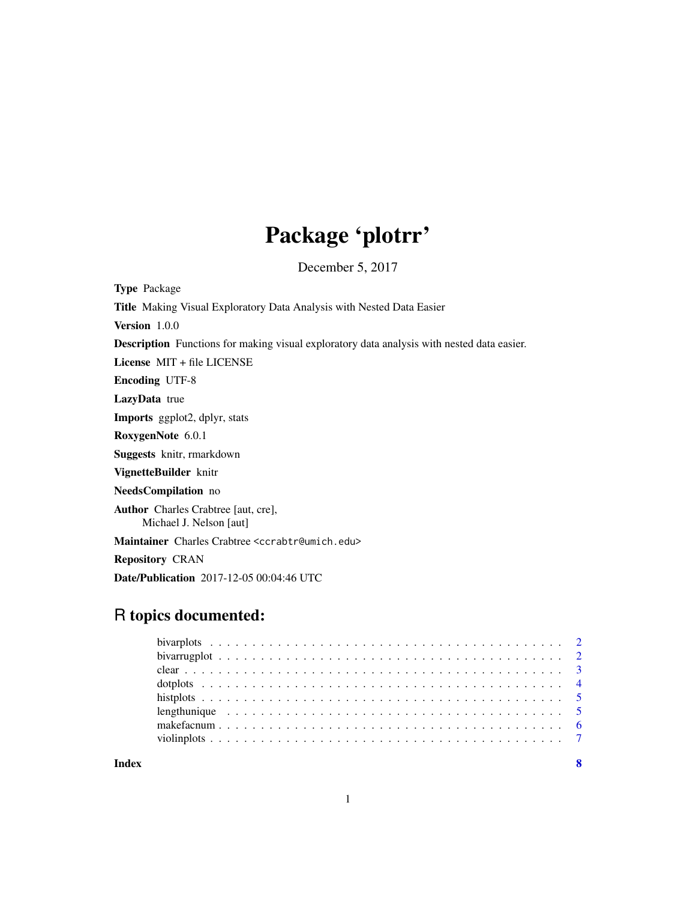## Package 'plotrr'

December 5, 2017

Type Package Title Making Visual Exploratory Data Analysis with Nested Data Easier Version 1.0.0 Description Functions for making visual exploratory data analysis with nested data easier. License MIT + file LICENSE Encoding UTF-8 LazyData true Imports ggplot2, dplyr, stats RoxygenNote 6.0.1 Suggests knitr, rmarkdown VignetteBuilder knitr NeedsCompilation no Author Charles Crabtree [aut, cre], Michael J. Nelson [aut] Maintainer Charles Crabtree <ccrabtr@umich.edu> Repository CRAN Date/Publication 2017-12-05 00:04:46 UTC

### R topics documented:

**Index** [8](#page-7-0) **8**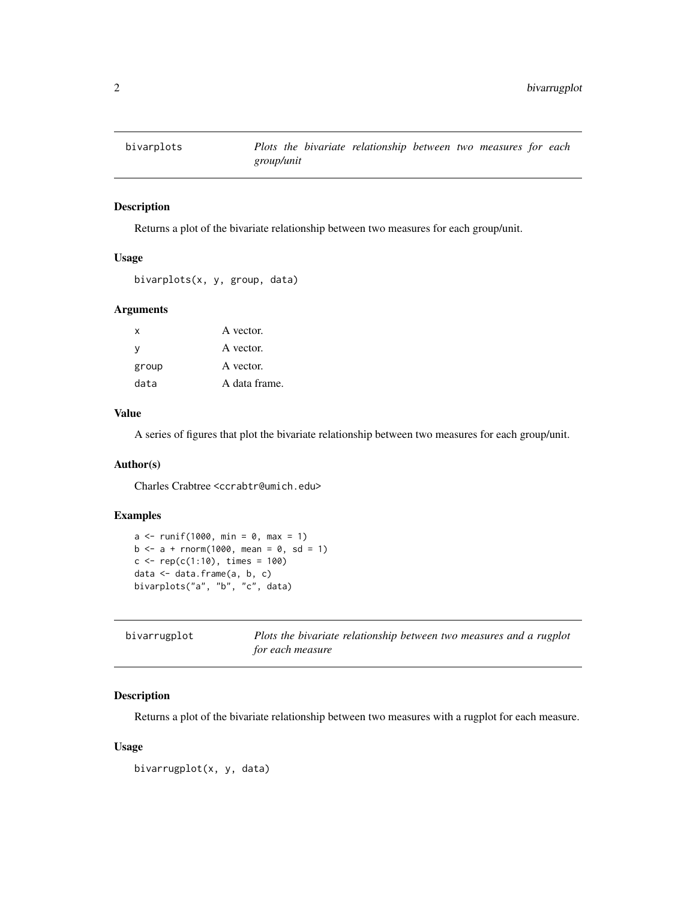<span id="page-1-0"></span>

Returns a plot of the bivariate relationship between two measures for each group/unit.

#### Usage

```
bivarplots(x, y, group, data)
```
#### Arguments

| x     | A vector.     |
|-------|---------------|
| v     | A vector.     |
| group | A vector.     |
| data  | A data frame. |

#### Value

A series of figures that plot the bivariate relationship between two measures for each group/unit.

#### Author(s)

Charles Crabtree <ccrabtr@umich.edu>

#### Examples

```
a \le runif(1000, min = 0, max = 1)
b \le -a + \text{norm}(1000, \text{mean} = 0, \text{sd} = 1)c \leq -rep(c(1:10), times = 100)data <- data.frame(a, b, c)
bivarplots("a", "b", "c", data)
```

| bivarrugplot | Plots the bivariate relationship between two measures and a rugplot |
|--------------|---------------------------------------------------------------------|
|              | for each measure                                                    |

#### Description

Returns a plot of the bivariate relationship between two measures with a rugplot for each measure.

#### Usage

```
bivarrugplot(x, y, data)
```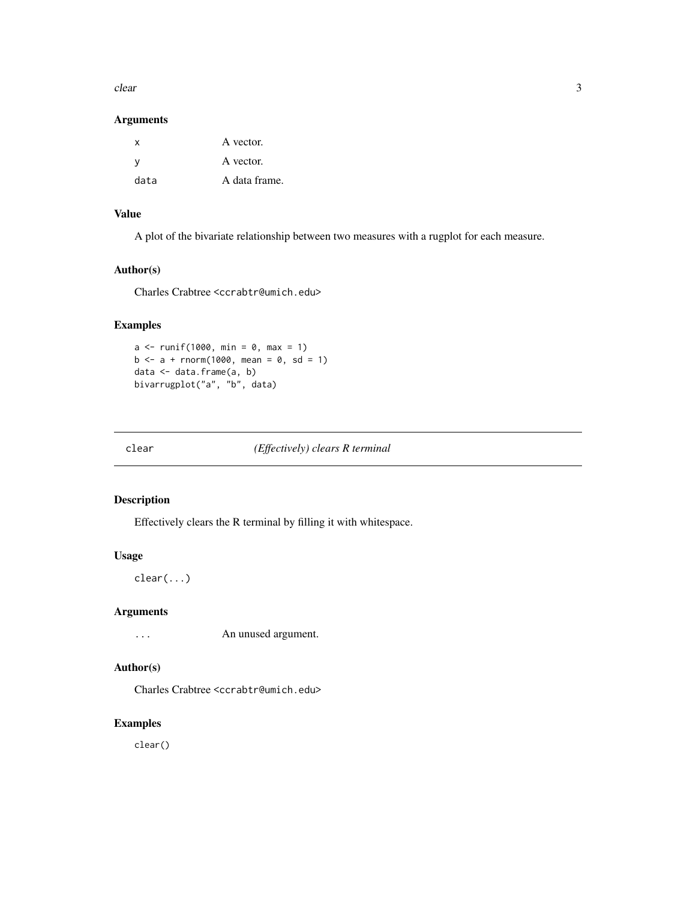<span id="page-2-0"></span> $clear$  3

#### Arguments

| x    | A vector.     |
|------|---------------|
| v    | A vector.     |
| data | A data frame. |

#### Value

A plot of the bivariate relationship between two measures with a rugplot for each measure.

#### Author(s)

Charles Crabtree <ccrabtr@umich.edu>

#### Examples

```
a \le runif(1000, min = 0, max = 1)
b \le -a + \text{norm}(1000, \text{ mean } = 0, \text{ sd } = 1)data <- data.frame(a, b)
bivarrugplot("a", "b", data)
```
clear *(Effectively) clears R terminal*

#### Description

Effectively clears the R terminal by filling it with whitespace.

#### Usage

clear(...)

#### Arguments

... An unused argument.

#### Author(s)

Charles Crabtree <ccrabtr@umich.edu>

#### Examples

clear()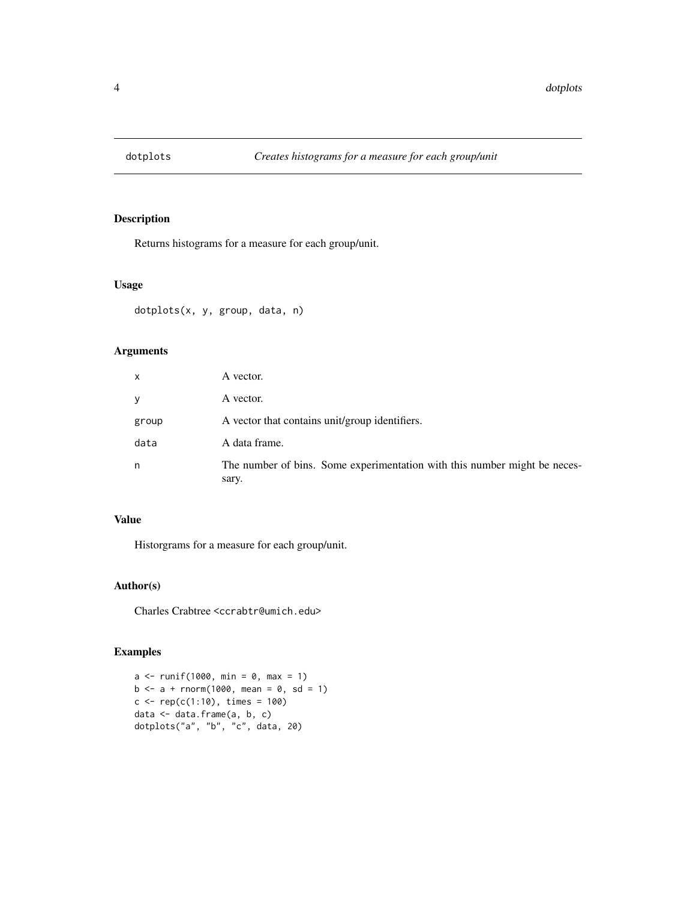<span id="page-3-0"></span>

Returns histograms for a measure for each group/unit.

#### Usage

```
dotplots(x, y, group, data, n)
```
#### Arguments

| x     | A vector.                                                                          |
|-------|------------------------------------------------------------------------------------|
| У     | A vector.                                                                          |
| group | A vector that contains unit/group identifiers.                                     |
| data  | A data frame.                                                                      |
| n     | The number of bins. Some experimentation with this number might be neces-<br>sary. |

#### Value

Historgrams for a measure for each group/unit.

#### Author(s)

Charles Crabtree <ccrabtr@umich.edu>

#### Examples

```
a \le runif(1000, min = 0, max = 1)
b \le -a + \text{norm}(1000, \text{ mean } = 0, \text{ sd } = 1)c < -\text{rep}(c(1:10), \text{ times} = 100)data <- data.frame(a, b, c)
dotplots("a", "b", "c", data, 20)
```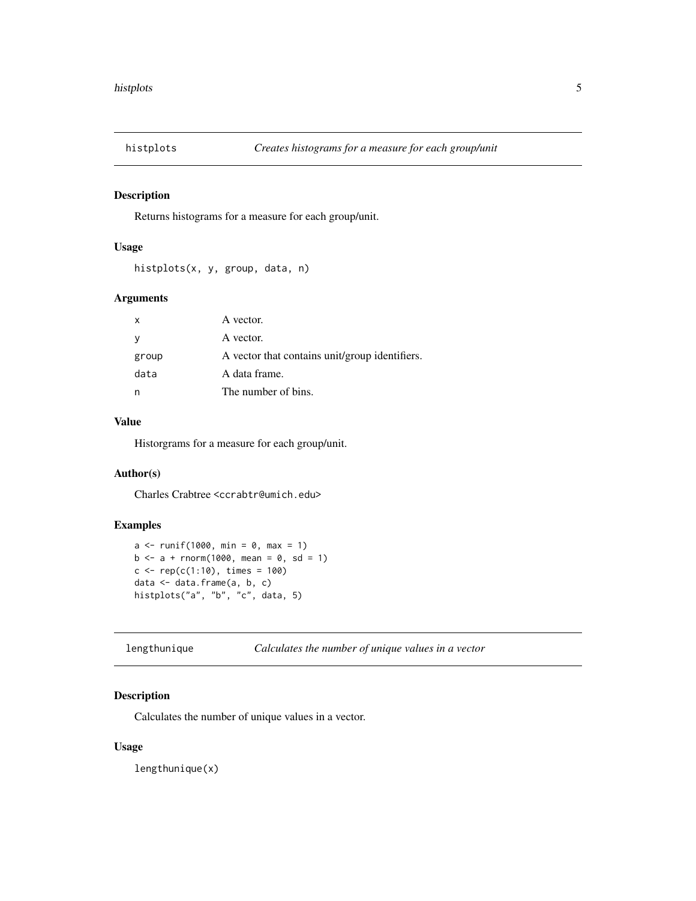<span id="page-4-0"></span>

Returns histograms for a measure for each group/unit.

#### Usage

histplots(x, y, group, data, n)

#### Arguments

| $\mathsf{x}$ | A vector.                                      |
|--------------|------------------------------------------------|
| <sub>V</sub> | A vector.                                      |
| group        | A vector that contains unit/group identifiers. |
| data         | A data frame.                                  |
|              | The number of bins.                            |

#### Value

Historgrams for a measure for each group/unit.

#### Author(s)

Charles Crabtree <ccrabtr@umich.edu>

#### Examples

```
a \le runif(1000, min = 0, max = 1)
b \le -a + \text{norm}(1000, \text{ mean } = 0, \text{ sd } = 1)c \leq -\text{rep}(c(1:10), \text{ times} = 100)data <- data.frame(a, b, c)
histplots("a", "b", "c", data, 5)
```
lengthunique *Calculates the number of unique values in a vector*

#### Description

Calculates the number of unique values in a vector.

#### Usage

lengthunique(x)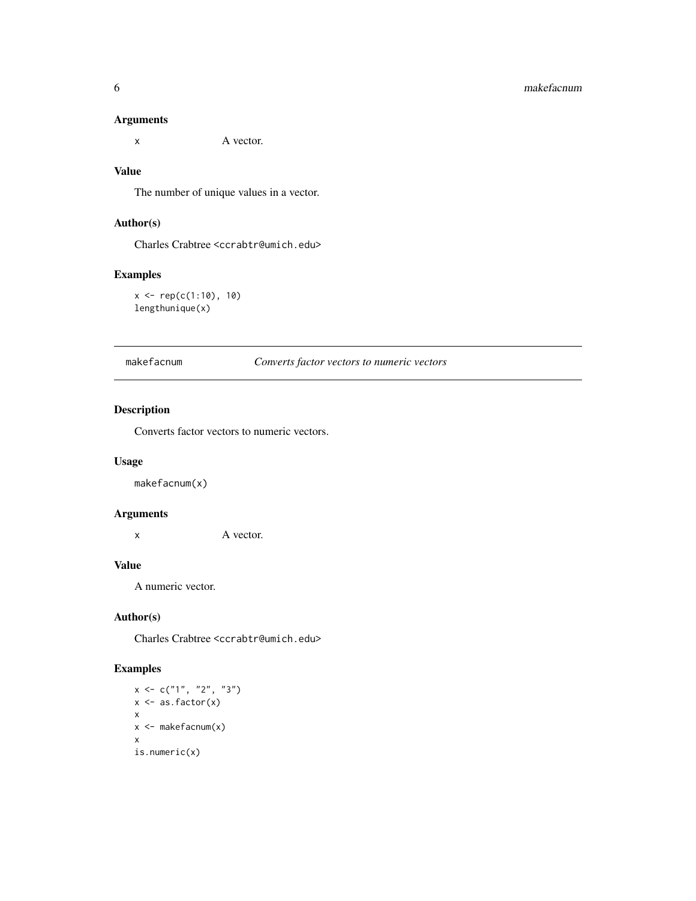#### <span id="page-5-0"></span>Arguments

x A vector.

#### Value

The number of unique values in a vector.

#### Author(s)

Charles Crabtree <ccrabtr@umich.edu>

#### Examples

 $x \leftarrow \text{rep}(c(1:10), 10)$ lengthunique(x)

makefacnum *Converts factor vectors to numeric vectors*

#### Description

Converts factor vectors to numeric vectors.

#### Usage

makefacnum(x)

#### Arguments

x A vector.

#### Value

A numeric vector.

#### Author(s)

Charles Crabtree <ccrabtr@umich.edu>

#### Examples

```
x < -c("1", "2", "3")x \leftarrow as.factor(x)x
x <- makefacnum(x)
x
is.numeric(x)
```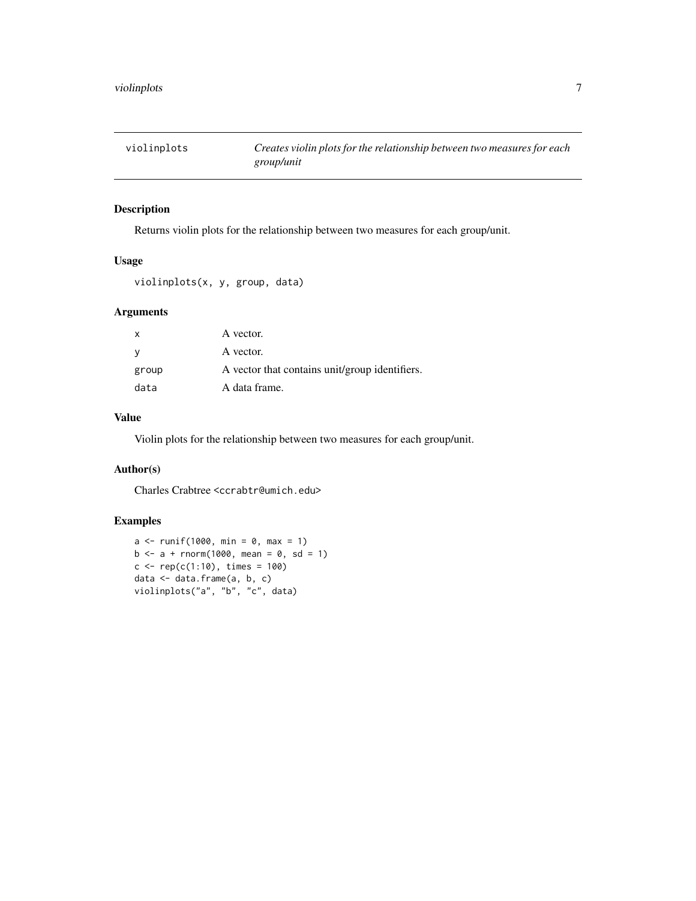<span id="page-6-0"></span>

Returns violin plots for the relationship between two measures for each group/unit.

#### Usage

violinplots(x, y, group, data)

#### Arguments

| $\mathsf{x}$ | A vector.                                      |
|--------------|------------------------------------------------|
| - V          | A vector.                                      |
| group        | A vector that contains unit/group identifiers. |
| data         | A data frame.                                  |

#### Value

Violin plots for the relationship between two measures for each group/unit.

#### Author(s)

Charles Crabtree <ccrabtr@umich.edu>

#### Examples

```
a \le runif(1000, min = 0, max = 1)
b \le -a + \text{norm}(1000, \text{ mean } = 0, \text{ sd } = 1)c \leq -\text{rep}(c(1:10), \text{ times } = 100)data <- data.frame(a, b, c)
violinplots("a", "b", "c", data)
```